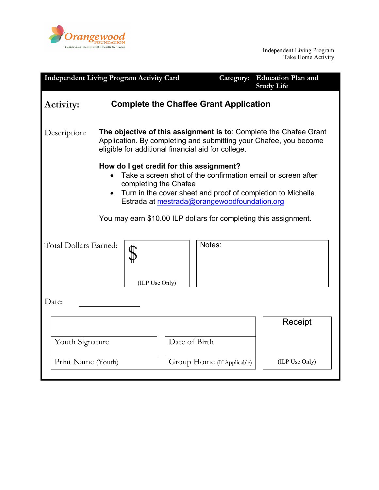

Independent Living Program Take Home Activity

| <b>Independent Living Program Activity Card</b>                                                                                                                                                                                                                                                                                   |                                                                                                                                                                                              |                | Category:                  | <b>Education Plan and</b><br><b>Study Life</b> |                |
|-----------------------------------------------------------------------------------------------------------------------------------------------------------------------------------------------------------------------------------------------------------------------------------------------------------------------------------|----------------------------------------------------------------------------------------------------------------------------------------------------------------------------------------------|----------------|----------------------------|------------------------------------------------|----------------|
| <b>Activity:</b>                                                                                                                                                                                                                                                                                                                  | <b>Complete the Chaffee Grant Application</b>                                                                                                                                                |                |                            |                                                |                |
| Description:                                                                                                                                                                                                                                                                                                                      | The objective of this assignment is to: Complete the Chafee Grant<br>Application. By completing and submitting your Chafee, you become<br>eligible for additional financial aid for college. |                |                            |                                                |                |
| How do I get credit for this assignment?<br>Take a screen shot of the confirmation email or screen after<br>completing the Chafee<br>Turn in the cover sheet and proof of completion to Michelle<br>$\bullet$<br>Estrada at mestrada@orangewoodfoundation.org<br>You may earn \$10.00 ILP dollars for completing this assignment. |                                                                                                                                                                                              |                |                            |                                                |                |
| Total Dollars Earned:                                                                                                                                                                                                                                                                                                             |                                                                                                                                                                                              | (ILP Use Only) |                            | Notes:                                         |                |
| Date:                                                                                                                                                                                                                                                                                                                             |                                                                                                                                                                                              |                |                            |                                                |                |
|                                                                                                                                                                                                                                                                                                                                   |                                                                                                                                                                                              |                |                            |                                                | Receipt        |
| Youth Signature                                                                                                                                                                                                                                                                                                                   |                                                                                                                                                                                              |                | Date of Birth              |                                                |                |
| Print Name (Youth)                                                                                                                                                                                                                                                                                                                |                                                                                                                                                                                              |                | Group Home (If Applicable) |                                                | (ILP Use Only) |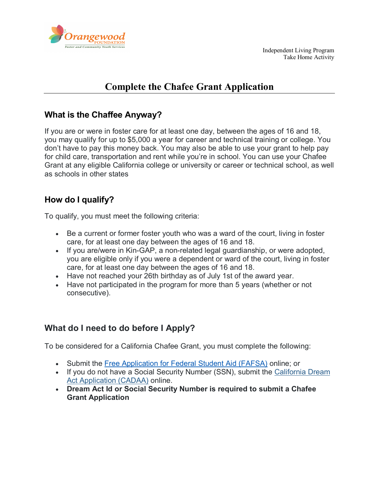

# **Complete the Chafee Grant Application**

#### **What is the Chaffee Anyway?**

If you are or were in foster care for at least one day, between the ages of 16 and 18, you may qualify for up to \$5,000 a year for career and technical training or college. You don't have to pay this money back. You may also be able to use your grant to help pay for child care, transportation and rent while you're in school. You can use your Chafee Grant at any eligible California college or university or career or technical school, as well as schools in other states

### **How do I qualify?**

To qualify, you must meet the following criteria:

- Be a current or former foster youth who was a ward of the court, living in foster care, for at least one day between the ages of 16 and 18.
- If you are/were in Kin-GAP, a non-related legal guardianship, or were adopted, you are eligible only if you were a dependent or ward of the court, living in foster care, for at least one day between the ages of 16 and 18.
- Have not reached your 26th birthday as of July 1st of the award year.
- Have not participated in the program for more than 5 years (whether or not consecutive).

#### **What do I need to do before I Apply?**

To be considered for a California Chafee Grant, you must complete the following:

- Submit the [Free Application for Federal Student Aid \(FAFSA\)](http://www.fafsa.ed.gov/) online; or
- If you do not have a Social Security Number (SSN), submit the [California Dream](https://dream.csac.ca.gov/)  [Act Application \(CADAA\)](https://dream.csac.ca.gov/) online.
- **Dream Act Id or Social Security Number is required to submit a Chafee Grant Application**